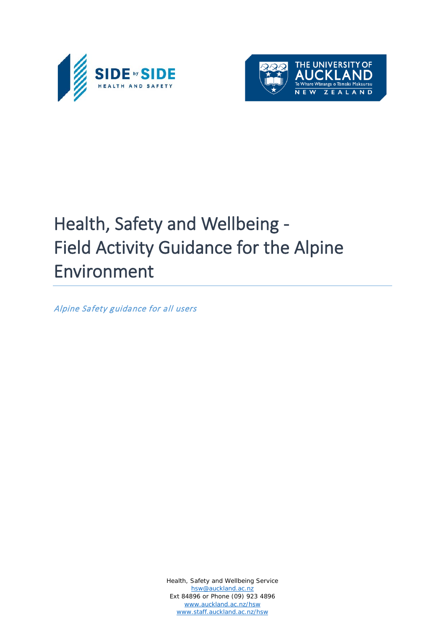



# Health, Safety and Wellbeing - Field Activity Guidance for the Alpine Environment

Alpine Safety guidance for all users

Health, Safety and Wellbeing Service [hsw@auckland.ac.nz](mailto:hsw@auckland.ac.nz) Ext 84896 or Phone (09) 923 4896 [www.auckland.ac.nz/hsw](http://www.auckland.ac.nz/hsw) [www.staff.auckland.ac.nz/hsw](http://www.staff.auckland.ac.nz/hsw)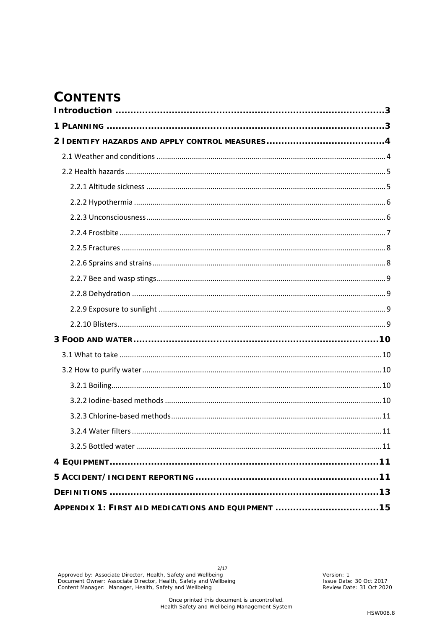# **CONTENTS**

| APPENDIX 1: FIRST AID MEDICATIONS AND EQUIPMENT 15 |  |
|----------------------------------------------------|--|

 $2/17$ Approved by: Associate Director, Health, Safety and Wellbeing<br>Document Owner: Associate Director, Health, Safety and Wellbeing<br>Content Manager: Manager, Health, Safety and Wellbeing

Version: 1<br>Issue Date: 30 Oct 2017<br>Review Date: 31 Oct 2020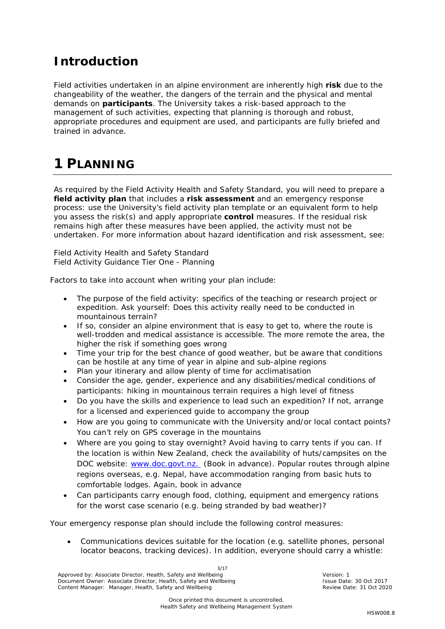## <span id="page-2-0"></span>**Introduction**

Field activities undertaken in an alpine environment are inherently high **risk** due to the changeability of the weather, the dangers of the terrain and the physical and mental demands on **participants**. The University takes a risk-based approach to the management of such activities, expecting that planning is thorough and robust, appropriate procedures and equipment are used, and participants are fully briefed and trained in advance.

# <span id="page-2-1"></span>**1 PLANNING**

As required by the Field Activity Health and Safety Standard, you will need to prepare a **field activity plan** that includes a **risk assessment** and an emergency response process: use the University's field activity plan template or an equivalent form to help you assess the risk(s) and apply appropriate **control** measures. If the residual risk remains high after these measures have been applied, the activity must not be undertaken. For more information about hazard identification and risk assessment, see:

Field Activity Health and Safety Standard Field Activity Guidance Tier One - Planning

Factors to take into account when writing your plan include:

- The purpose of the field activity: specifics of the teaching or research project or expedition. Ask yourself: Does this activity really need to be conducted in mountainous terrain?
- If so, consider an alpine environment that is easy to get to, where the route is well-trodden and medical assistance is accessible. The more remote the area, the higher the risk if something goes wrong
- Time your trip for the best chance of good weather, but be aware that conditions can be hostile at any time of year in alpine and sub-alpine regions
- Plan your itinerary and allow plenty of time for acclimatisation
- Consider the age, gender, experience and any disabilities/medical conditions of participants: hiking in mountainous terrain requires a high level of fitness
- Do you have the skills and experience to lead such an expedition? If not, arrange for a licensed and experienced guide to accompany the group
- How are you going to communicate with the University and/or local contact points? You can't rely on GPS coverage in the mountains
- Where are you going to stay overnight? Avoid having to carry tents if you can. If the location is within New Zealand, check the availability of huts/campsites on the DOC website: [www.doc.govt.nz.](http://www.doc.govt.nz/) (Book in advance). Popular routes through alpine regions overseas, e.g. Nepal, have accommodation ranging from basic huts to comfortable lodges. Again, book in advance
- Can participants carry enough food, clothing, equipment and emergency rations for the worst case scenario (e.g. being stranded by bad weather)?

Your emergency response plan should include the following control measures:

• Communications devices suitable for the location (e.g. satellite phones, personal locator beacons, tracking devices). In addition, everyone should carry a whistle:

3/17 Approved by: Associate Director, Health, Safety and Wellbeing Version: 1 Version: 1<br>Document Owner: Associate Director, Health, Safety and Wellbeing Version: New York 1990 Issue Date: 30 Oct 2017 Document Owner: Associate Director, Health, Safety and Wellbeing **Issue Pate: 30 Oct 2017**<br>Content Manager: Manager, Health, Safety and Wellbeing **Issue Date: 31 Oct 2020** Content Manager: Manager, Health, Safety and Wellb Content Manager: Manager, Health, Safety and Wellbeing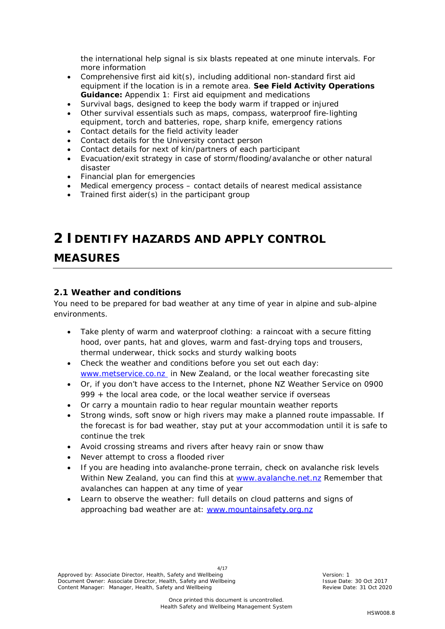the international help signal is six blasts repeated at one minute intervals. For more information

- Comprehensive first aid kit(s), including additional non-standard first aid equipment if the location is in a remote area. **See Field Activity Operations Guidance:** *Appendix 1: First aid equipment and medications*
- Survival bags, designed to keep the body warm if trapped or injured
- Other survival essentials such as maps, compass, waterproof fire-lighting equipment, torch and batteries, rope, sharp knife, emergency rations
- Contact details for the field activity leader
- Contact details for the University contact person
- Contact details for next of kin/partners of each participant
- Evacuation/exit strategy in case of storm/flooding/avalanche or other natural disaster
- Financial plan for emergencies
- Medical emergency process contact details of nearest medical assistance
- Trained first aider(s) in the participant group

### <span id="page-3-0"></span>**2 IDENTIFY HAZARDS AND APPLY CONTROL**

### **MEASURES**

### <span id="page-3-1"></span>*2.1 Weather and conditions*

You need to be prepared for bad weather at any time of year in alpine and sub-alpine environments.

- Take plenty of warm and waterproof clothing: a raincoat with a secure fitting hood, over pants, hat and gloves, warm and fast-drying tops and trousers, thermal underwear, thick socks and sturdy walking boots
- Check the weather and conditions before you set out each day: [www.metservice.co.nz](http://www.metservice.co.nz/) in New Zealand, or the local weather forecasting site
- Or, if you don't have access to the Internet, phone NZ Weather Service on 0900 999 + the local area code, or the local weather service if overseas
- Or carry a mountain radio to hear regular mountain weather reports
- Strong winds, soft snow or high rivers may make a planned route impassable. If the forecast is for bad weather, stay put at your accommodation until it is safe to continue the trek
- Avoid crossing streams and rivers after heavy rain or snow thaw
- Never attempt to cross a flooded river
- If you are heading into avalanche-prone terrain, check on avalanche risk levels Within New Zealand, you can find this at [www.avalanche.net.nz](http://www.avalanche.net.nz/) Remember that avalanches can happen at any time of year
- Learn to observe the weather: full details on cloud patterns and signs of approaching bad weather are at: [www.mountainsafety.org.nz](http://www.mountainsafety.org.nz/)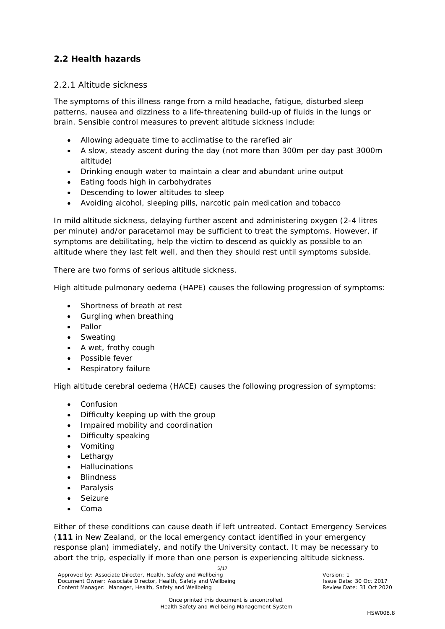### <span id="page-4-1"></span><span id="page-4-0"></span>*2.2 Health hazards*

#### *2.2.1 Altitude sickness*

The symptoms of this illness range from a mild headache, fatigue, disturbed sleep patterns, nausea and dizziness to a life-threatening build-up of fluids in the lungs or brain. Sensible control measures to prevent altitude sickness include:

- Allowing adequate time to acclimatise to the rarefied air
- A slow, steady ascent during the day (not more than 300m per day past 3000m altitude)
- Drinking enough water to maintain a clear and abundant urine output
- Eating foods high in carbohydrates
- Descending to lower altitudes to sleep
- Avoiding alcohol, sleeping pills, narcotic pain medication and tobacco

In mild altitude sickness, delaying further ascent and administering oxygen (2-4 litres per minute) and/or paracetamol may be sufficient to treat the symptoms. However, if symptoms are debilitating, help the victim to descend as quickly as possible to an altitude where they last felt well, and then they should rest until symptoms subside.

There are two forms of serious altitude sickness.

High altitude pulmonary oedema (HAPE) causes the following progression of symptoms:

- Shortness of breath at rest
- Gurgling when breathing
- Pallor
- **Sweating**
- A wet, frothy cough
- Possible fever
- Respiratory failure

High altitude cerebral oedema (HACE) causes the following progression of symptoms:

- Confusion
- Difficulty keeping up with the group
- Impaired mobility and coordination
- Difficulty speaking
- Vomiting
- **Lethargy**
- Hallucinations
- **Blindness**
- **Paralysis**
- Seizure
- Coma

Either of these conditions can cause death if left untreated. Contact Emergency Services (**111** in New Zealand, or the local emergency contact identified in your emergency response plan) immediately, and notify the University contact. It may be necessary to abort the trip, especially if more than one person is experiencing altitude sickness.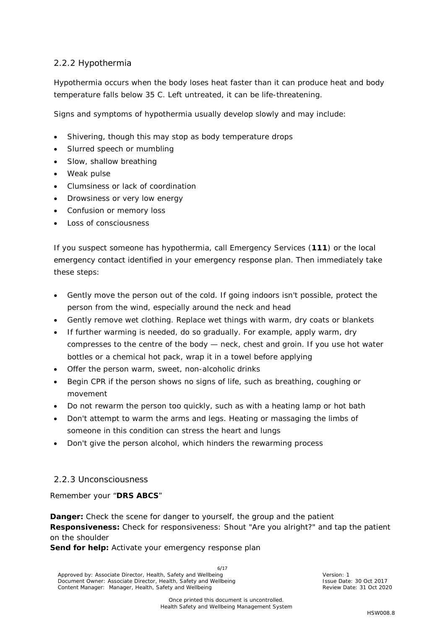### <span id="page-5-0"></span>*2.2.2 Hypothermia*

Hypothermia occurs when the body loses heat faster than it can produce heat and body temperature falls below 35 C. Left untreated, it can be life-threatening.

Signs and symptoms of hypothermia usually develop slowly and may include:

- Shivering, though this may stop as body temperature drops
- Slurred speech or mumbling
- Slow, shallow breathing
- Weak pulse
- Clumsiness or lack of coordination
- Drowsiness or very low energy
- Confusion or memory loss
- Loss of consciousness

If you suspect someone has hypothermia, call Emergency Services (**111**) or the local emergency contact identified in your emergency response plan. Then immediately take these steps:

- Gently move the person out of the cold. If going indoors isn't possible, protect the person from the wind, especially around the neck and head
- Gently remove wet clothing. Replace wet things with warm, dry coats or blankets
- If further warming is needed, do so gradually. For example, apply warm, dry compresses to the centre of the body — neck, chest and groin. If you use hot water bottles or a chemical hot pack, wrap it in a towel before applying
- Offer the person warm, sweet, non-alcoholic drinks
- Begin CPR if the person shows no signs of life, such as breathing, coughing or movement
- Do not rewarm the person too quickly, such as with a heating lamp or hot bath
- Don't attempt to warm the arms and legs. Heating or massaging the limbs of someone in this condition can stress the heart and lungs
- Don't give the person alcohol, which hinders the rewarming process

### <span id="page-5-1"></span>*2.2.3 Unconsciousness*

Remember your "**DRS ABCS**"

**Danger:** Check the scene for danger to yourself, the group and the patient **Responsiveness:** Check for responsiveness: Shout "Are you alright?" and tap the patient on the shoulder

Send for help: Activate your emergency response plan

6/17 Approved by: Associate Director, Health, Safety and Wellbeing Version: 1 Version: 1<br>Document Owner: Associate Director, Health, Safety and Wellbeing Version: New York 1990 Issue Date: 30 Oct 2017 Document Owner: Associate Director, Health, Safety and Wellbeing **Issue Pate: 30 Oct 2017**<br>Content Manager: Manager, Health, Safety and Wellbeing **Issue Date: 31 Oct 2020** Content Manager: Manager, Health, Safety and Wellb Content Manager: Manager, Health, Safety and Wellbeing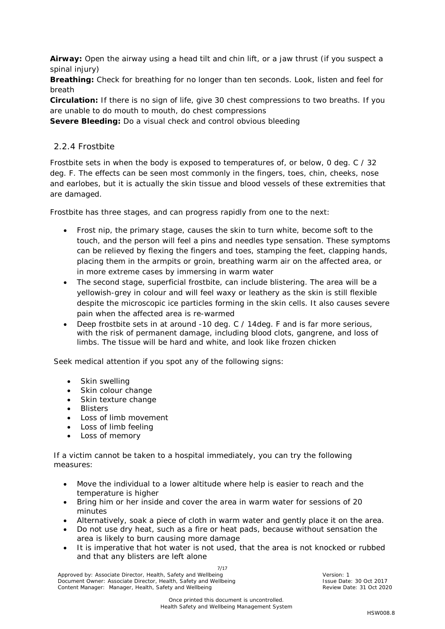**Airway:** Open the airway using a head tilt and chin lift, or a jaw thrust (if you suspect a spinal injury)

**Breathing:** Check for breathing for no longer than ten seconds. Look, listen and feel for breath

**Circulation:** If there is no sign of life, give 30 chest compressions to two breaths. If you are unable to do mouth to mouth, do chest compressions

**Severe Bleeding:** Do a visual check and control obvious bleeding

#### <span id="page-6-0"></span>*2.2.4 Frostbite*

Frostbite sets in when the body is exposed to temperatures of, or below, 0 deg. C / 32 deg. F. The effects can be seen most commonly in the fingers, toes, chin, cheeks, nose and earlobes, but it is actually the skin tissue and blood vessels of these extremities that are damaged.

Frostbite has three stages, and can progress rapidly from one to the next:

- Frost nip, the primary stage, causes the skin to turn white, become soft to the touch, and the person will feel a pins and needles type sensation. These symptoms can be relieved by flexing the fingers and toes, stamping the feet, clapping hands, placing them in the armpits or groin, breathing warm air on the affected area, or in more extreme cases by immersing in warm water
- The second stage, superficial frostbite, can include blistering. The area will be a yellowish-grey in colour and will feel waxy or leathery as the skin is still flexible despite the microscopic ice particles forming in the skin cells. It also causes severe pain when the affected area is re-warmed
- Deep frostbite sets in at around -10 deg. C / 14deg. F and is far more serious, with the risk of permanent damage, including blood clots, gangrene, and loss of limbs. The tissue will be hard and white, and look like frozen chicken

Seek medical attention if you spot any of the following signs:

- Skin swelling
- Skin colour change
- Skin texture change
- **Blisters**
- Loss of limb movement
- Loss of limb feeling
- Loss of memory

If a victim cannot be taken to a hospital immediately, you can try the following measures:

- Move the individual to a lower altitude where help is easier to reach and the temperature is higher
- Bring him or her inside and cover the area in warm water for sessions of 20 minutes
- Alternatively, soak a piece of cloth in warm water and gently place it on the area.
- Do not use dry heat, such as a fire or heat pads, because without sensation the area is likely to burn causing more damage
- It is imperative that hot water is not used, that the area is not knocked or rubbed and that any blisters are left alone

7/17 Approved by: Associate Director, Health, Safety and Wellbeing Version: 1 Version: 1<br>Document Owner: Associate Director, Health, Safety and Wellbeing Version: New York 1990 Issue Date: 30 Oct 2017 Document Owner: Associate Director, Health, Safety and Wellbeing **Issue Pate: 30 Oct 2017**<br>Content Manager: Manager, Health, Safety and Wellbeing **Issue Date: 31 Oct 2020** Content Manager: Manager, Health, Safety and Wellb Content Manager: Manager, Health, Safety and Wellbeing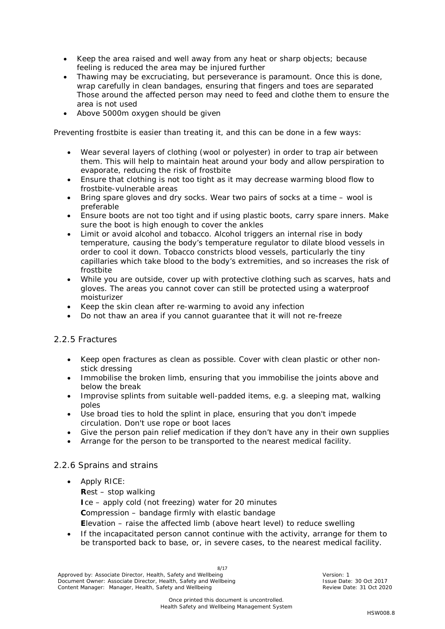- Keep the area raised and well away from any heat or sharp objects; because feeling is reduced the area may be injured further
- Thawing may be excruciating, but perseverance is paramount. Once this is done, wrap carefully in clean bandages, ensuring that fingers and toes are separated Those around the affected person may need to feed and clothe them to ensure the area is not used
- Above 5000m oxygen should be given

Preventing frostbite is easier than treating it, and this can be done in a few ways:

- Wear several layers of clothing (wool or polyester) in order to trap air between them. This will help to maintain heat around your body and allow perspiration to evaporate, reducing the risk of frostbite
- Ensure that clothing is not too tight as it may decrease warming blood flow to frostbite-vulnerable areas
- Bring spare gloves and dry socks. Wear two pairs of socks at a time wool is preferable
- Ensure boots are not too tight and if using plastic boots, carry spare inners. Make sure the boot is high enough to cover the ankles
- Limit or avoid alcohol and tobacco. Alcohol triggers an internal rise in body temperature, causing the body's temperature regulator to dilate blood vessels in order to cool it down. Tobacco constricts blood vessels, particularly the tiny capillaries which take blood to the body's extremities, and so increases the risk of frostbite
- While you are outside, cover up with protective clothing such as scarves, hats and gloves. The areas you cannot cover can still be protected using a waterproof moisturizer
- Keep the skin clean after re-warming to avoid any infection
- Do not thaw an area if you cannot guarantee that it will not re-freeze

#### <span id="page-7-0"></span>*2.2.5 Fractures*

- Keep open fractures as clean as possible. Cover with clean plastic or other nonstick dressing
- Immobilise the broken limb, ensuring that you immobilise the joints above and below the break
- Improvise splints from suitable well-padded items, e.g. a sleeping mat, walking poles
- Use broad ties to hold the splint in place, ensuring that you don't impede circulation. Don't use rope or boot laces
- Give the person pain relief medication if they don't have any in their own supplies
- Arrange for the person to be transported to the nearest medical facility.

#### <span id="page-7-1"></span>*2.2.6 Sprains and strains*

• Apply RICE:

**R**est – stop walking **I**ce – apply cold (not freezing) water for 20 minutes **C**ompression – bandage firmly with elastic bandage

**E**levation – raise the affected limb (above heart level) to reduce swelling

• If the incapacitated person cannot continue with the activity, arrange for them to be transported back to base, or, in severe cases, to the nearest medical facility.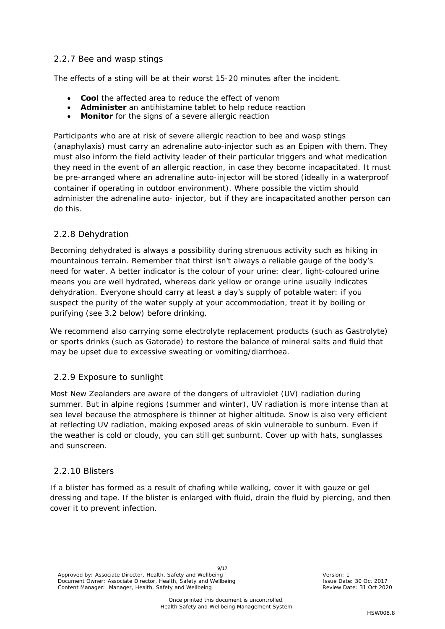#### <span id="page-8-0"></span>*2.2.7 Bee and wasp stings*

The effects of a sting will be at their worst 15-20 minutes after the incident.

- **Cool** the affected area to reduce the effect of venom
- **Administer** an antihistamine tablet to help reduce reaction
- **Monitor** for the signs of a severe allergic reaction

Participants who are at risk of severe allergic reaction to bee and wasp stings (anaphylaxis) must carry an adrenaline auto-injector such as an Epipen with them. They must also inform the field activity leader of their particular triggers and what medication they need in the event of an allergic reaction, in case they become incapacitated. It must be pre-arranged where an adrenaline auto-injector will be stored (ideally in a waterproof container if operating in outdoor environment). Where possible the victim should administer the adrenaline auto- injector, but if they are incapacitated another person can do this.

#### <span id="page-8-1"></span>*2.2.8 Dehydration*

Becoming dehydrated is always a possibility during strenuous activity such as hiking in mountainous terrain. Remember that thirst isn't always a reliable gauge of the body's need for water. A better indicator is the colour of your urine: clear, light-coloured urine means you are well hydrated, whereas dark yellow or orange urine usually indicates dehydration. Everyone should carry at least a day's supply of potable water: if you suspect the purity of the water supply at your accommodation, treat it by boiling or purifying (see 3.2 below) before drinking.

We recommend also carrying some electrolyte replacement products (such as Gastrolyte) or sports drinks (such as Gatorade) to restore the balance of mineral salts and fluid that may be upset due to excessive sweating or vomiting/diarrhoea.

#### <span id="page-8-2"></span>*2.2.9 Exposure to sunlight*

Most New Zealanders are aware of the dangers of ultraviolet (UV) radiation during summer. But in alpine regions (summer and winter), UV radiation is more intense than at sea level because the atmosphere is thinner at higher altitude. Snow is also very efficient at reflecting UV radiation, making exposed areas of skin vulnerable to sunburn. Even if the weather is cold or cloudy, you can still get sunburnt. Cover up with hats, sunglasses and sunscreen.

#### <span id="page-8-3"></span>*2.2.10 Blisters*

If a blister has formed as a result of chafing while walking, cover it with gauze or gel dressing and tape. If the blister is enlarged with fluid, drain the fluid by piercing, and then cover it to prevent infection.

9/17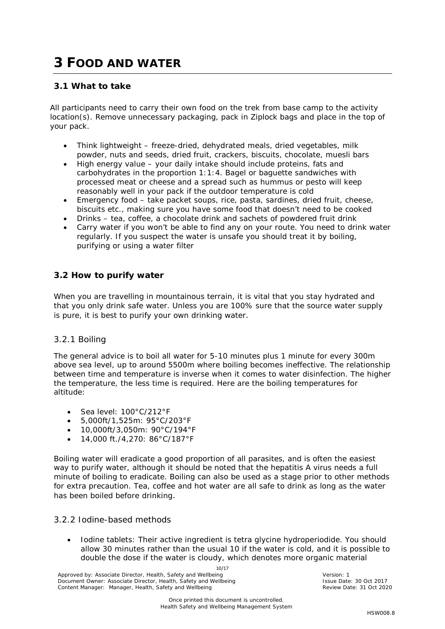# <span id="page-9-0"></span>**3 FOOD AND WATER**

### <span id="page-9-1"></span>*3.1 What to take*

All participants need to carry their own food on the trek from base camp to the activity location(s). Remove unnecessary packaging, pack in Ziplock bags and place in the top of your pack.

- Think lightweight freeze-dried, dehydrated meals, dried vegetables, milk powder, nuts and seeds, dried fruit, crackers, biscuits, chocolate, muesli bars
- High energy value your daily intake should include proteins, fats and carbohydrates in the proportion 1:1:4. Bagel or baguette sandwiches with processed meat or cheese and a spread such as hummus or pesto will keep reasonably well in your pack if the outdoor temperature is cold
- Emergency food take packet soups, rice, pasta, sardines, dried fruit, cheese, biscuits etc., making sure you have some food that doesn't need to be cooked
- Drinks tea, coffee, a chocolate drink and sachets of powdered fruit drink
- Carry water if you won't be able to find any on your route. You need to drink water regularly. If you suspect the water is unsafe you should treat it by boiling, purifying or using a water filter

#### <span id="page-9-2"></span>*3.2 How to purify water*

When you are travelling in mountainous terrain, it is vital that you stay hydrated and that you only drink safe water. Unless you are 100% sure that the source water supply is pure, it is best to purify your own drinking water.

#### <span id="page-9-3"></span>*3.2.1 Boiling*

The general advice is to boil all water for 5-10 minutes plus 1 minute for every 300m above sea level, up to around 5500m where boiling becomes ineffective. The relationship between time and temperature is inverse when it comes to water disinfection. The higher the temperature, the less time is required. Here are the boiling temperatures for altitude:

- Sea level: 100°C/212°F
- 5,000ft/1,525m: 95°C/203°F
- 10,000ft/3,050m: 90°C/194°F
- 14,000 ft./4,270: 86°C/187°F

Boiling water will eradicate a good proportion of all parasites, and is often the easiest way to purify water, although it should be noted that the hepatitis A virus needs a full minute of boiling to eradicate. Boiling can also be used as a stage prior to other methods for extra precaution. Tea, coffee and hot water are all safe to drink as long as the water has been boiled before drinking.

#### <span id="page-9-4"></span>*3.2.2 Iodine-based methods*

• *Iodine tablets:* Their active ingredient is tetra glycine hydroperiodide. You should allow 30 minutes rather than the usual 10 if the water is cold, and it is possible to double the dose if the water is cloudy, which denotes more organic material

10/17 Approved by: Associate Director, Health, Safety and Wellbeing Version: 1 Version: 1<br>
Document Owner: Associate Director, Health, Safety and Wellbeing Version: Next Version: 1 Issue Date: 30 Oct Document Owner: Associate Director, Health, Safety and Wellbeing **Issue Pate: 30 Oct 2017**<br>Content Manager: Manager, Health, Safety and Wellbeing **Issue Date: 31 Oct 2020** Content Manager: Manager, Health, Safety and Wellb Content Manager: Manager, Health, Safety and Wellbeing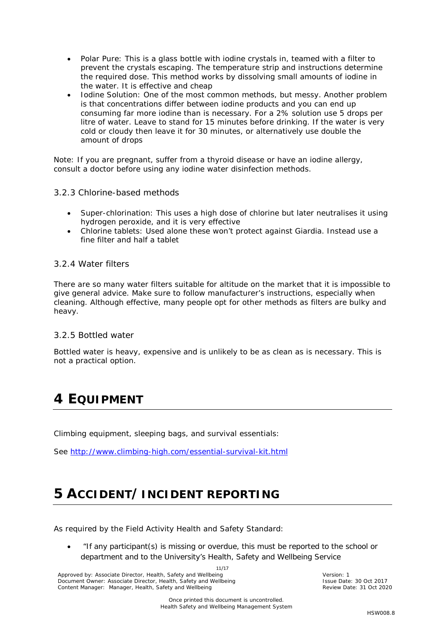- *Polar Pure:* This is a glass bottle with iodine crystals in, teamed with a filter to prevent the crystals escaping. The temperature strip and instructions determine the required dose. This method works by dissolving small amounts of iodine in the water. It is effective and cheap
- *Iodine Solution*: One of the most common methods, but messy. Another problem is that concentrations differ between iodine products and you can end up consuming far more iodine than is necessary. For a 2% solution use 5 drops per litre of water. Leave to stand for 15 minutes before drinking. If the water is very cold or cloudy then leave it for 30 minutes, or alternatively use double the amount of drops

*Note: If you are pregnant, suffer from a thyroid disease or have an iodine allergy, consult a doctor before using any iodine water disinfection methods.*

#### <span id="page-10-0"></span>*3.2.3 Chlorine-based methods*

- Super-chlorination: This uses a high dose of chlorine but later neutralises it using hydrogen peroxide, and it is very effective
- Chlorine tablets: Used alone these won't protect against Giardia. Instead use a fine filter and half a tablet

#### <span id="page-10-1"></span>*3.2.4 Water filters*

There are so many water filters suitable for altitude on the market that it is impossible to give general advice. Make sure to follow manufacturer's instructions, especially when cleaning. Although effective, many people opt for other methods as filters are bulky and heavy.

#### <span id="page-10-2"></span>*3.2.5 Bottled water*

Bottled water is heavy, expensive and is unlikely to be as clean as is necessary. This is not a practical option.

### <span id="page-10-3"></span>**4 EQUIPMENT**

Climbing equipment, sleeping bags, and survival essentials:

See<http://www.climbing-high.com/essential-survival-kit.html>

# <span id="page-10-4"></span>**5 ACCIDENT/INCIDENT REPORTING**

As required by the Field Activity Health and Safety Standard:

• *"If any participant(s) is missing or overdue, this must be reported to the school or department and to the University's Health, Safety and Wellbeing Service* 

11/17 Approved by: Associate Director, Health, Safety and Wellbeing Version: 1 Version: 1<br>
Document Owner: Associate Director, Health, Safety and Wellbeing Version: New York: 30 Oct 2017 Document Owner: Associate Director, Health, Safety and Wellbeing **Issue Pate: 30 Oct 2017**<br>Content Manager: Manager, Health, Safety and Wellbeing **Issue Date: 31 Oct 2020** Content Manager: Manager, Health, Safety and Wellb Content Manager: Manager, Health, Safety and Wellbeing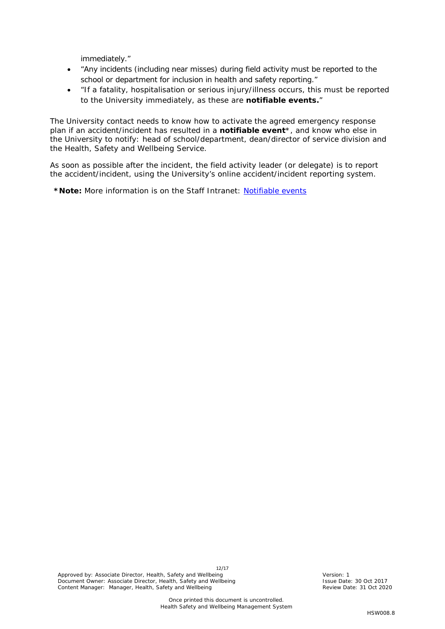*immediately."* 

- *"Any incidents (including near misses) during field activity must be reported to the school or department for inclusion in health and safety reporting."*
- *"If a fatality, hospitalisation or serious injury/illness occurs, this must be reported to the University immediately, as these are notifiable events."*

The University contact needs to know how to activate the agreed emergency response plan if an accident/incident has resulted in a **notifiable event**\*, and know who else in the University to notify: head of school/department, dean/director of service division and the Health, Safety and Wellbeing Service.

As soon as possible after the incident, the field activity leader (or delegate) is to report the accident/incident, using the University's online accident/incident reporting system.

**\*Note:** More information is on the Staff Intranet: [Notifiable events](https://www.staff.auckland.ac.nz/en/human-resources/health-safety-and-wellbeing/accident-reporting-and-investigation/definitions-of-serious-harm1.html)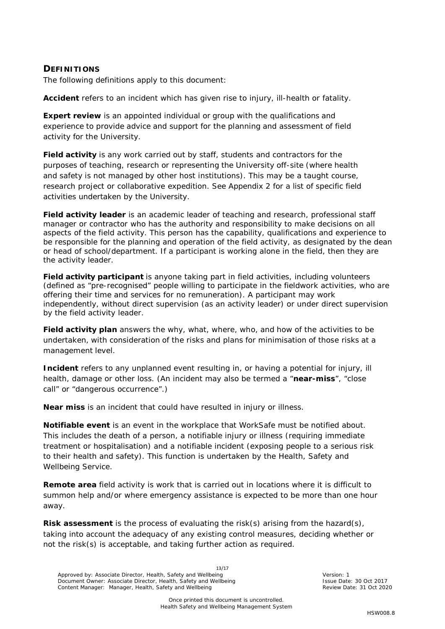#### <span id="page-12-0"></span>**DEFINITIONS**

The following definitions apply to this document:

**Accident** refers to an incident which has given rise to injury, ill-health or fatality.

**Expert review** is an appointed individual or group with the qualifications and experience to provide advice and support for the planning and assessment of field activity for the University.

**Field activity** is any work carried out by staff, students and contractors for the purposes of teaching, research or representing the University off-site (where health and safety is not managed by other host institutions). This may be a taught course, research project or collaborative expedition. See Appendix 2 for a list of specific field activities undertaken by the University.

**Field activity leader** is an academic leader of teaching and research, professional staff manager or contractor who has the authority and responsibility to make decisions on all aspects of the field activity. This person has the capability, qualifications and experience to be responsible for the planning and operation of the field activity, as designated by the dean or head of school/department. If a participant is working alone in the field, then they are the activity leader.

**Field activity participant** is anyone taking part in field activities, including volunteers (defined as "pre-recognised" people willing to participate in the fieldwork activities, who are offering their time and services for no remuneration). A participant may work independently, without direct supervision (as an activity leader) or under direct supervision by the field activity leader.

**Field activity plan** answers the why, what, where, who, and how of the activities to be undertaken, with consideration of the risks and plans for minimisation of those risks at a management level.

**Incident** refers to any unplanned event resulting in, or having a potential for injury, ill health, damage or other loss. (An incident may also be termed a "**near-miss**", "close call" or "dangerous occurrence".)

**Near miss** is an incident that could have resulted in injury or illness.

**Notifiable event** is an event in the workplace that WorkSafe must be notified about. This includes the death of a person, a notifiable injury or illness (requiring immediate treatment or hospitalisation) and a notifiable incident (exposing people to a serious risk to their health and safety). This function is undertaken by the Health, Safety and Wellbeing Service.

**Remote area** field activity is work that is carried out in locations where it is difficult to summon help and/or where emergency assistance is expected to be more than one hour away.

**Risk assessment** is the process of evaluating the risk(s) arising from the hazard(s), taking into account the adequacy of any existing control measures, deciding whether or not the risk(s) is acceptable, and taking further action as required.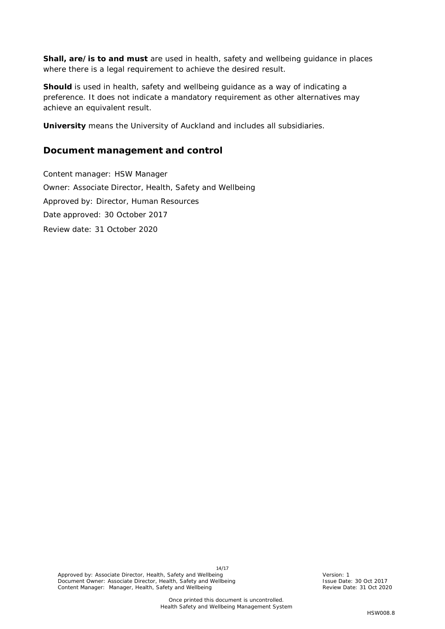**Shall, are/is to and must** are used in health, safety and wellbeing guidance in places where there is a legal requirement to achieve the desired result.

**Should** is used in health, safety and wellbeing guidance as a way of indicating a preference. It does not indicate a mandatory requirement as other alternatives may achieve an equivalent result.

**University** means the University of Auckland and includes all subsidiaries.

### **Document management and control**

Content manager: HSW Manager Owner: Associate Director, Health, Safety and Wellbeing Approved by: Director, Human Resources Date approved: 30 October 2017 Review date: 31 October 2020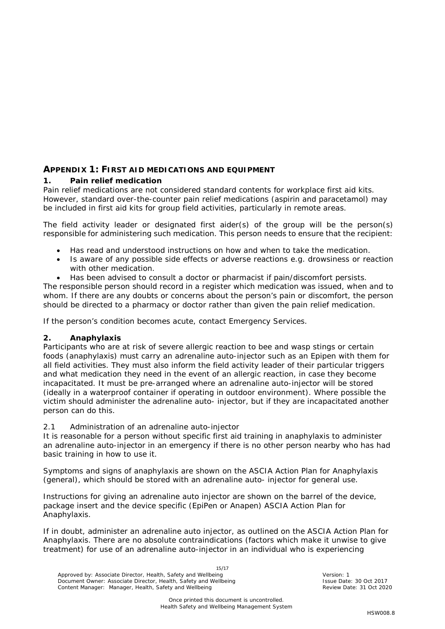### <span id="page-14-0"></span>**APPENDIX 1: FIRST AID MEDICATIONS AND EQUIPMENT**

#### *1. Pain relief medication*

Pain relief medications are not considered standard contents for workplace first aid kits. However, standard over-the-counter pain relief medications (aspirin and paracetamol) may be included in first aid kits for group field activities, particularly in remote areas.

The field activity leader or designated first aider(s) of the group will be the person(s) responsible for administering such medication. This person needs to ensure that the recipient:

- Has read and understood instructions on how and when to take the medication.
- Is aware of any possible side effects or adverse reactions e.g. drowsiness or reaction with other medication.
- Has been advised to consult a doctor or pharmacist if pain/discomfort persists.

The responsible person should record in a register which medication was issued, when and to whom. If there are any doubts or concerns about the person's pain or discomfort, the person should be directed to a pharmacy or doctor rather than given the pain relief medication.

If the person's condition becomes acute, contact Emergency Services.

#### *2. Anaphylaxis*

Participants who are at risk of severe allergic reaction to bee and wasp stings or certain foods (anaphylaxis) must carry an adrenaline auto-injector such as an Epipen with them for all field activities. They must also inform the field activity leader of their particular triggers and what medication they need in the event of an allergic reaction, in case they become incapacitated. It must be pre-arranged where an adrenaline auto-injector will be stored (ideally in a waterproof container if operating in outdoor environment). Where possible the victim should administer the adrenaline auto- injector, but if they are incapacitated another person can do this.

#### *2.1 Administration of an adrenaline auto-injector*

It is reasonable for a person without specific first aid training in anaphylaxis to administer an adrenaline auto-injector in an emergency if there is no other person nearby who has had basic training in how to use it.

Symptoms and signs of anaphylaxis are shown on the ASCIA Action Plan for Anaphylaxis (general), which should be stored with an adrenaline auto- injector for general use.

Instructions for giving an adrenaline auto injector are shown on the barrel of the device, package insert and the device specific (EpiPen or Anapen) ASCIA Action Plan for Anaphylaxis.

If in doubt, administer an adrenaline auto injector, as outlined on the ASCIA Action Plan for Anaphylaxis. There are no absolute contraindications (factors which make it unwise to give treatment) for use of an adrenaline auto-injector in an individual who is experiencing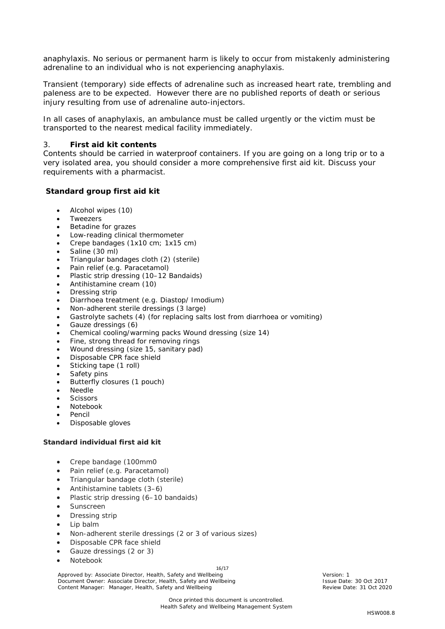anaphylaxis. No serious or permanent harm is likely to occur from mistakenly administering adrenaline to an individual who is not experiencing anaphylaxis.

Transient (temporary) side effects of adrenaline such as increased heart rate, trembling and paleness are to be expected. However there are no published reports of death or serious injury resulting from use of adrenaline auto-injectors.

In all cases of anaphylaxis, an ambulance must be called urgently or the victim must be transported to the nearest medical facility immediately.

#### 3. *First aid kit contents*

Contents should be carried in waterproof containers. If you are going on a long trip or to a very isolated area, you should consider a more comprehensive first aid kit. Discuss your requirements with a pharmacist.

#### **Standard group first aid kit**

- Alcohol wipes (10)
- **Tweezers**
- Betadine for grazes
- Low-reading clinical thermometer
- Crepe bandages (1x10 cm; 1x15 cm)
- Saline (30 ml)
- Triangular bandages cloth (2) (sterile)
- Pain relief (e.g. Paracetamol)
- Plastic strip dressing (10–12 Bandaids)
- Antihistamine cream (10)
- Dressing strip
- Diarrhoea treatment (e.g. Diastop/ Imodium)
- Non-adherent sterile dressings (3 large)
- Gastrolyte sachets (4) (for replacing salts lost from diarrhoea or vomiting)
- Gauze dressings (6)
- Chemical cooling/warming packs Wound dressing (size 14)
- Fine, strong thread for removing rings
- Wound dressing (size 15, sanitary pad)
- Disposable CPR face shield
- Sticking tape (1 roll)
- Safety pins
- Butterfly closures (1 pouch)
- **Needle**
- **Scissors**
- Notebook
- **Pencil**
- Disposable gloves

#### **Standard individual first aid kit**

- Crepe bandage (100mm0
- Pain relief (e.g. Paracetamol)
- Triangular bandage cloth (sterile)
- Antihistamine tablets (3–6)
- Plastic strip dressing (6–10 bandaids)
- Sunscreen
- Dressing strip
- Lip balm
- Non-adherent sterile dressings (2 or 3 of various sizes)
- Disposable CPR face shield
- Gauze dressings (2 or 3)
- Notebook

16/17

Approved by: Associate Director, Health, Safety and Wellbeing Version: 1 Version: 1<br>
Document Owner: Associate Director, Health, Safety and Wellbeing Version: New York: 30 Oct 2017 Document Owner: Associate Director, Health, Safety and Wellbeing **Issue Pate: 30 Oct 2017**<br>Content Manager: Manager, Health, Safety and Wellbeing **Issue Date: 31 Oct 2020** Content Manager: Manager, Health, Safety and Wellb Content Manager: Manager, Health, Safety and Wellbeing